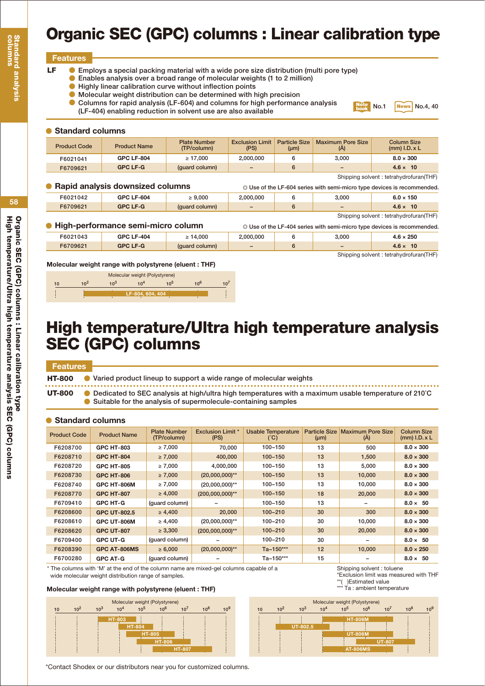# **Organic SEC (GPC) columns : Linear calibration type**

## **Features**

- **Employs a special packing material with a wide pore size distribution (multi pore type) LF**
	- $\bullet$ **Enables analysis over a broad range of molecular weights (1 to 2 million)**
		- $\bullet$ **Highly linear calibration curve without inflection points**
		- $\bullet$ **Molecular weight distribution can be determined with high precision**
		- **Columns for rapid analysis (LF-604) and columns for high performance analysis (LF-404) enabling reduction in solvent use are also available**



| <b>Standard columns</b> |                                  |                                    |                                |                                   |                                                                               |                                         |  |
|-------------------------|----------------------------------|------------------------------------|--------------------------------|-----------------------------------|-------------------------------------------------------------------------------|-----------------------------------------|--|
| <b>Product Code</b>     | <b>Product Name</b>              | <b>Plate Number</b><br>(TP/column) | <b>Exclusion Limit</b><br>(PS) | <b>Particle Size</b><br>$(\mu m)$ | <b>Maximum Pore Size</b><br>(A)                                               | <b>Column Size</b><br>$(mm)$ I.D. $x$ L |  |
| F6021041                | <b>GPC LF-804</b>                | $\geq 17.000$                      | 2,000,000                      | 6                                 | 3.000                                                                         | $8.0 \times 300$                        |  |
| F6709621                | <b>GPC LF-G</b>                  | (quard column)                     |                                | 6                                 |                                                                               | $4.6 \times 10$                         |  |
|                         |                                  |                                    |                                |                                   |                                                                               | Shipping solvent: tetrahydrofuran(THF)  |  |
|                         | Rapid analysis downsized columns |                                    |                                |                                   | $\odot$ Use of the LF-604 series with semi-micro type devices is recommended. |                                         |  |
| F6021042                | <b>GPC LF-604</b>                | $\geq 9.000$                       | 2.000.000                      | 6                                 | 3.000                                                                         | $6.0 \times 150$                        |  |
| F6709621                | <b>GPC LF-G</b>                  | (quard column)                     | $\overline{\phantom{0}}$       | 6                                 | -                                                                             | $4.6 \times 10$                         |  |

Shipping solvent : tetrahydrofuran(THF)

| ● High-performance semi-micro column |                   |                | $\circ$ Use of the LF-404 series with semi-micro type devices is recommended. |  |                          |                                         |
|--------------------------------------|-------------------|----------------|-------------------------------------------------------------------------------|--|--------------------------|-----------------------------------------|
| F6021043                             | <b>GPC LF-404</b> | $\geq 14.000$  | 2.000.000                                                                     |  | 3.000                    | $4.6 \times 250$                        |
| F6709621                             | <b>GPC LF-G</b>   | (guard column) |                                                                               |  | $\overline{\phantom{0}}$ | $4.6 \times 10$                         |
|                                      |                   |                |                                                                               |  |                          | Shipping solvent : tetrahydrofuran(THF) |

**Molecular weight range with polystyrene (eluent : THF)**

| Molecular weight (Polystyrene) |                 |                 |                  |                 |                 |  |  |
|--------------------------------|-----------------|-----------------|------------------|-----------------|-----------------|--|--|
|                                | 10 <sup>2</sup> | 10 <sup>3</sup> | 1 $n4$           | 10 <sup>5</sup> | 10 <sup>6</sup> |  |  |
|                                |                 |                 | LF-804, 604, 404 |                 |                 |  |  |

## **High temperature/Ultra high temperature analysis SEC (GPC) columns**

## **Features**

**HT-800 Varied product lineup to support a wide range of molecular weights**

**Dedicated to SEC analysis at high/ultra high temperatures with a maximum usable temperature of 210˚C Suitable for the analysis of supermolecule-containing samples UT-800**

## **Standard columns**

| <b>Product Code</b> | <b>Product Name</b> | <b>Plate Number</b><br>(TP/column) | <b>Exclusion Limit *</b><br>(PS) | <b>Usable Temperature</b><br>(°C) | <b>Particle Size</b><br>$(\mu m)$ | <b>Maximum Pore Size</b><br>(A) | Column Size<br>$(mm)$ I.D. $x$ L |
|---------------------|---------------------|------------------------------------|----------------------------------|-----------------------------------|-----------------------------------|---------------------------------|----------------------------------|
| F6208700            | <b>GPC HT-803</b>   | $\geq 7,000$                       | 70,000                           | 100-150                           | 13                                | 500                             | $8.0 \times 300$                 |
| F6208710            | <b>GPC HT-804</b>   | $\geq 7,000$                       | 400,000                          | $100 - 150$                       | 13                                | 1,500                           | $8.0 \times 300$                 |
| F6208720            | <b>GPC HT-805</b>   | $\geq 7,000$                       | 4,000,000                        | 100-150                           | 13                                | 5,000                           | $8.0 \times 300$                 |
| F6208730            | <b>GPC HT-806</b>   | $\geq 7,000$                       | $(20,000,000)$ **                | 100-150                           | 13                                | 10,000                          | $8.0 \times 300$                 |
| F6208740            | <b>GPC HT-806M</b>  | $\geq 7,000$                       | $(20,000,000)$ **                | 100-150                           | 13                                | 10,000                          | $8.0 \times 300$                 |
| F6208770            | <b>GPC HT-807</b>   | $\geq 4,000$                       | $(200,000,000)$ **               | $100 - 150$                       | 18                                | 20,000                          | $8.0 \times 300$                 |
| F6709410            | <b>GPC HT-G</b>     | (guard column)                     | $\overline{\phantom{0}}$         | 100-150                           | 13                                | -                               | $8.0 \times 50$                  |
| F6208600            | <b>GPC UT-802.5</b> | $\geq 4,400$                       | 20,000                           | $100 - 210$                       | 30                                | 300                             | $8.0 \times 300$                 |
| F6208610            | <b>GPC UT-806M</b>  | $\geq 4,400$                       | $(20,000,000)$ **                | 100-210                           | 30                                | 10,000                          | $8.0 \times 300$                 |
| F6208620            | <b>GPC UT-807</b>   | $\geq 3,300$                       | $(200,000,000)$ **               | $100 - 210$                       | 30                                | 20,000                          | $8.0 \times 300$                 |
| F6709400            | <b>GPC UT-G</b>     | (guard column)                     |                                  | 100-210                           | 30                                | -                               | $8.0 \times 50$                  |
| F6208390            | GPC AT-806MS        | $\ge 6,000$                        | $(20,000,000)$ **                | Ta-150***                         | 12                                | 10,000                          | $8.0 \times 250$                 |
| F6700280            | <b>GPC AT-G</b>     | (quard column)                     |                                  | Ta-150***                         | 15                                |                                 | $8.0 \times 50$                  |

\* The columns with 'M' at the end of the column name are mixed-gel columns capable of a wide molecular weight distribution range of samples.

### **Molecular weight range with polystyrene (eluent : THF)**



Shipping solvent : toluene \*Exclusion limit was measured with THF

\*\*( )Estimated value \*\*\* Ta : ambient temperature



\*Contact Shodex or our distributors near you for customized columns.

**58**